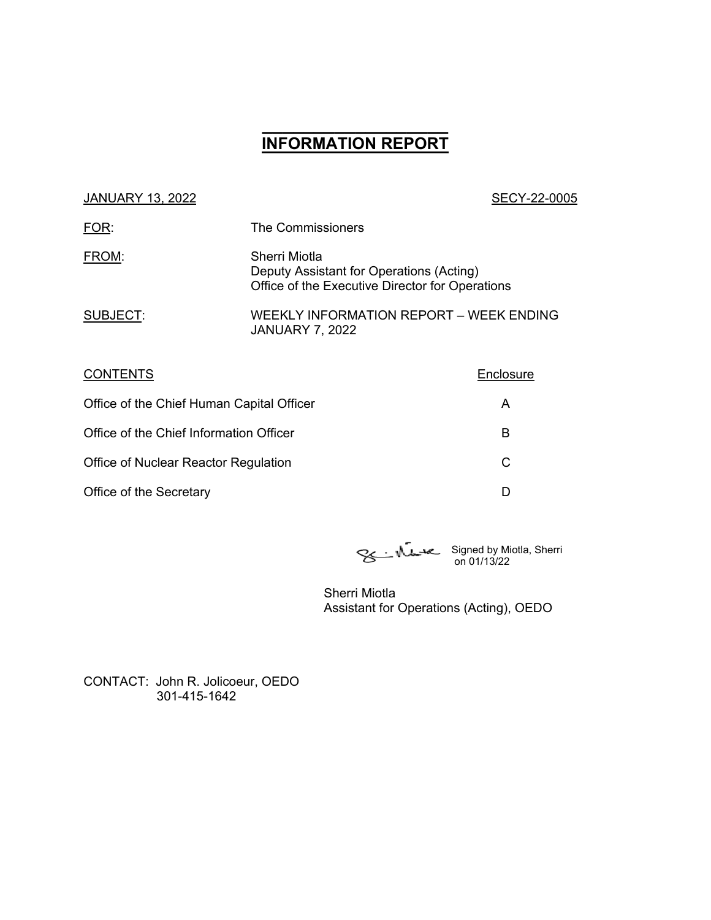# **\_\_\_\_\_\_\_\_\_\_\_\_\_\_\_\_\_\_ INFORMATION REPORT**

| <b>JANUARY 13, 2022</b> |  |  |
|-------------------------|--|--|
|                         |  |  |

#### SECY-22-0005

| FOR:     | The Commissioners                                                                                            |
|----------|--------------------------------------------------------------------------------------------------------------|
| FROM:    | Sherri Miotla<br>Deputy Assistant for Operations (Acting)<br>Office of the Executive Director for Operations |
| SUBJECT: | WEEKLY INFORMATION REPORT - WEEK ENDING<br><b>JANUARY 7, 2022</b>                                            |

| <b>CONTENTS</b>                           | Enclosure |
|-------------------------------------------|-----------|
| Office of the Chief Human Capital Officer | Α         |
| Office of the Chief Information Officer   | В         |
| Office of Nuclear Reactor Regulation      | С         |
| Office of the Secretary                   |           |

Signed by Miotla, Sherri on 01/13/22

Sherri Miotla Assistant for Operations (Acting), OEDO

CONTACT: John R. Jolicoeur, OEDO 301-415-1642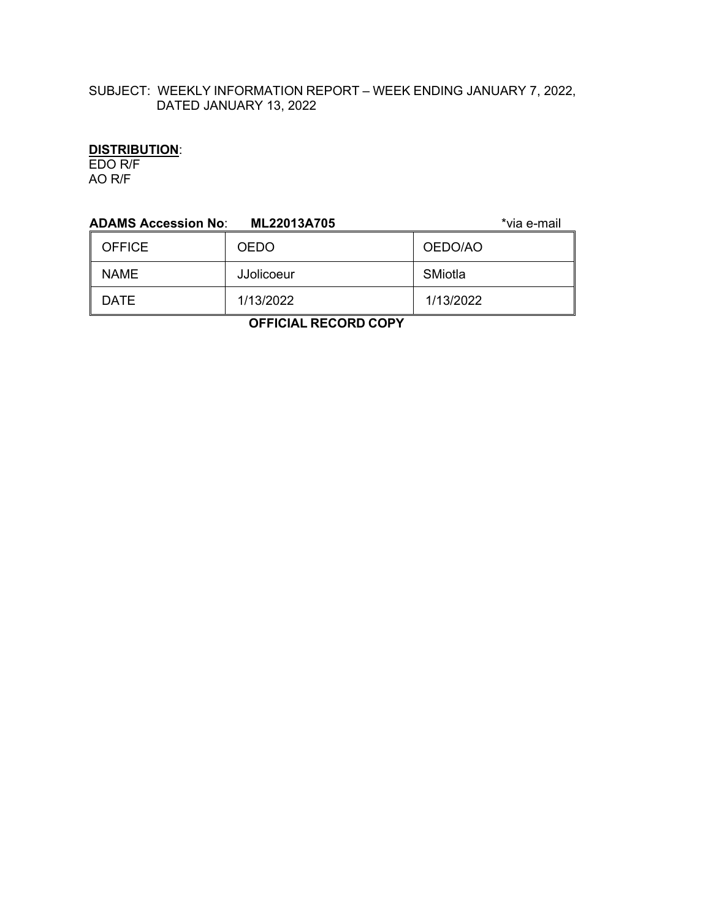# SUBJECT: WEEKLY INFORMATION REPORT – WEEK ENDING JANUARY 7, 2022, DATED JANUARY 13, 2022

### **DISTRIBUTION**:

EDO R/F AO R/F

| <b>ADAMS Accession No:</b> | ML22013A705 | *via e-mail |  |
|----------------------------|-------------|-------------|--|
| <b>OFFICE</b>              | <b>OEDO</b> | OEDO/AO     |  |
| <b>NAME</b>                | JJolicoeur  | SMiotla     |  |
| <b>DATE</b>                | 1/13/2022   | 1/13/2022   |  |
| .                          |             |             |  |

 **OFFICIAL RECORD COPY**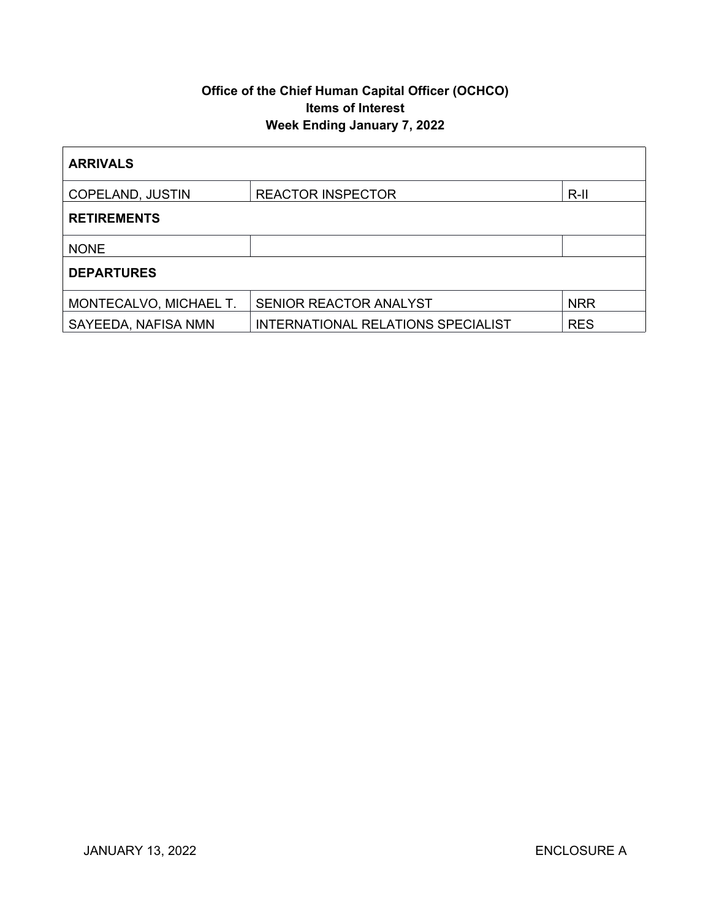# **Office of the Chief Human Capital Officer (OCHCO) Items of Interest Week Ending January 7, 2022**

| <b>ARRIVALS</b>        |                                    |            |  |
|------------------------|------------------------------------|------------|--|
| COPELAND, JUSTIN       | <b>REACTOR INSPECTOR</b><br>$R-II$ |            |  |
| <b>RETIREMENTS</b>     |                                    |            |  |
| <b>NONE</b>            |                                    |            |  |
| <b>DEPARTURES</b>      |                                    |            |  |
| MONTECALVO, MICHAEL T. | SENIOR REACTOR ANALYST             | <b>NRR</b> |  |
| SAYEEDA, NAFISA NMN    | INTERNATIONAL RELATIONS SPECIALIST | <b>RES</b> |  |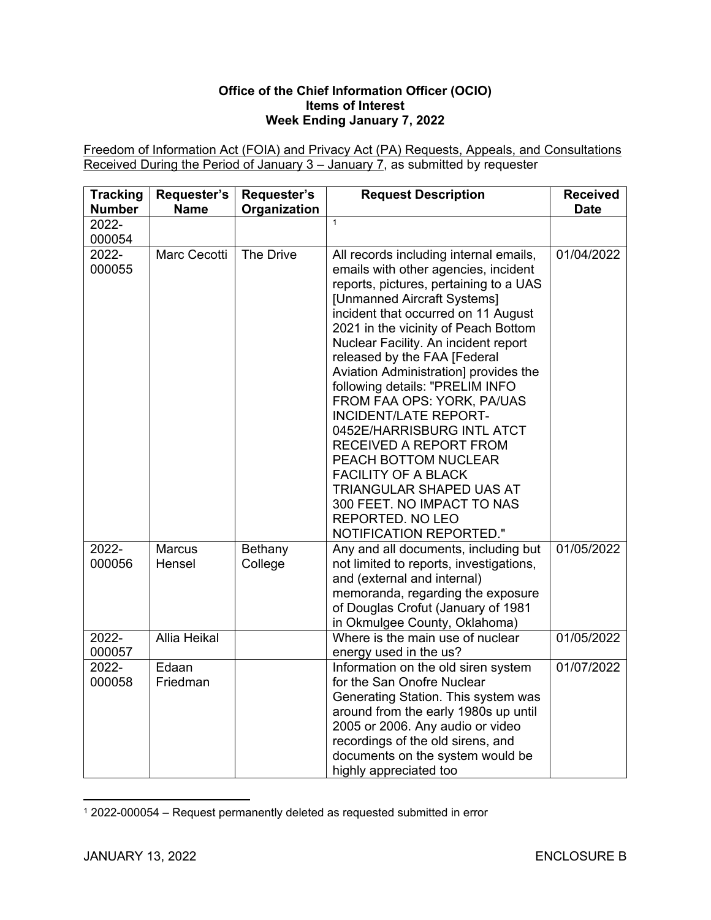#### **Office of the Chief Information Officer (OCIO) Items of Interest Week Ending January 7, 2022**

Freedom of Information Act (FOIA) and Privacy Act (PA) Requests, Appeals, and Consultations Received During the Period of January 3 – January 7, as submitted by requester

| <b>Tracking</b><br><b>Number</b> | Requester's<br><b>Name</b> | Requester's<br>Organization | <b>Request Description</b>                                                                                                                                                                                                                                                                                                                                                                                                                                                                                                                                                                                                                                                      | <b>Received</b><br><b>Date</b> |
|----------------------------------|----------------------------|-----------------------------|---------------------------------------------------------------------------------------------------------------------------------------------------------------------------------------------------------------------------------------------------------------------------------------------------------------------------------------------------------------------------------------------------------------------------------------------------------------------------------------------------------------------------------------------------------------------------------------------------------------------------------------------------------------------------------|--------------------------------|
| 2022-<br>000054                  |                            |                             | $\mathbf{1}$                                                                                                                                                                                                                                                                                                                                                                                                                                                                                                                                                                                                                                                                    |                                |
| 2022-<br>000055                  | Marc Cecotti               | The Drive                   | All records including internal emails,<br>emails with other agencies, incident<br>reports, pictures, pertaining to a UAS<br>[Unmanned Aircraft Systems]<br>incident that occurred on 11 August<br>2021 in the vicinity of Peach Bottom<br>Nuclear Facility. An incident report<br>released by the FAA [Federal<br>Aviation Administration] provides the<br>following details: "PRELIM INFO<br>FROM FAA OPS: YORK, PA/UAS<br><b>INCIDENT/LATE REPORT-</b><br>0452E/HARRISBURG INTL ATCT<br>RECEIVED A REPORT FROM<br>PEACH BOTTOM NUCLEAR<br><b>FACILITY OF A BLACK</b><br>TRIANGULAR SHAPED UAS AT<br>300 FEET. NO IMPACT TO NAS<br>REPORTED. NO LEO<br>NOTIFICATION REPORTED." | 01/04/2022                     |
| 2022-<br>000056                  | <b>Marcus</b><br>Hensel    | Bethany<br>College          | Any and all documents, including but<br>not limited to reports, investigations,<br>and (external and internal)<br>memoranda, regarding the exposure<br>of Douglas Crofut (January of 1981<br>in Okmulgee County, Oklahoma)                                                                                                                                                                                                                                                                                                                                                                                                                                                      | 01/05/2022                     |
| 2022-<br>000057                  | <b>Allia Heikal</b>        |                             | Where is the main use of nuclear<br>energy used in the us?                                                                                                                                                                                                                                                                                                                                                                                                                                                                                                                                                                                                                      | 01/05/2022                     |
| 2022-<br>000058                  | Edaan<br>Friedman          |                             | Information on the old siren system<br>for the San Onofre Nuclear<br>Generating Station. This system was<br>around from the early 1980s up until<br>2005 or 2006. Any audio or video<br>recordings of the old sirens, and<br>documents on the system would be<br>highly appreciated too                                                                                                                                                                                                                                                                                                                                                                                         | 01/07/2022                     |

<sup>1</sup> 2022-000054 – Request permanently deleted as requested submitted in error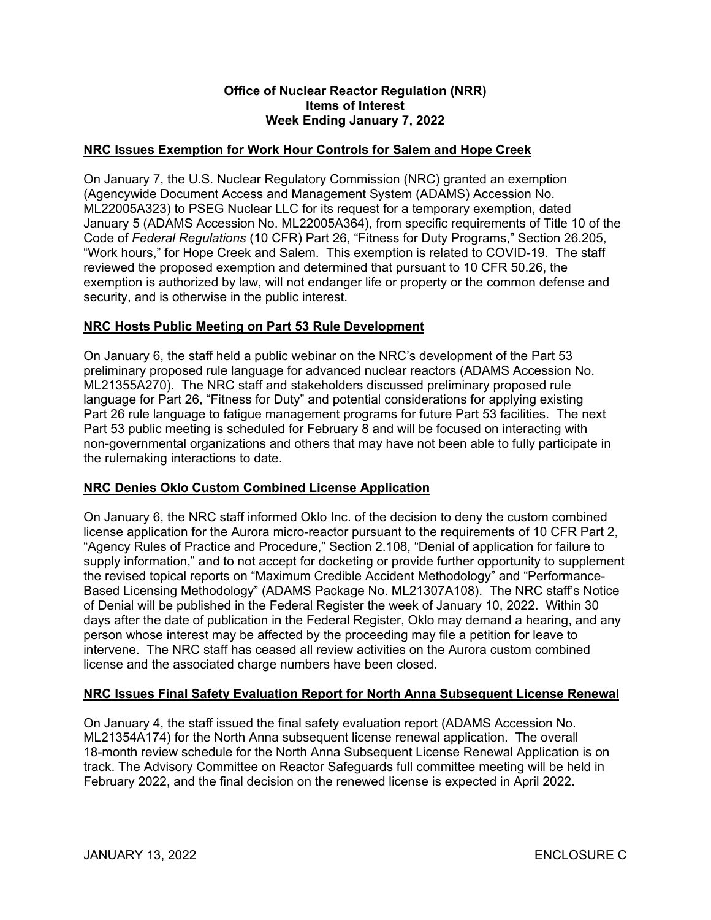#### **Office of Nuclear Reactor Regulation (NRR) Items of Interest Week Ending January 7, 2022**

#### **NRC Issues Exemption for Work Hour Controls for Salem and Hope Creek**

On January 7, the U.S. Nuclear Regulatory Commission (NRC) granted an exemption (Agencywide Document Access and Management System (ADAMS) Accession No. ML22005A323) to PSEG Nuclear LLC for its request for a temporary exemption, dated January 5 (ADAMS Accession No. ML22005A364), from specific requirements of Title 10 of the Code of *Federal Regulations* (10 CFR) Part 26, "Fitness for Duty Programs," Section 26.205, "Work hours," for Hope Creek and Salem. This exemption is related to COVID-19. The staff reviewed the proposed exemption and determined that pursuant to 10 CFR 50.26, the exemption is authorized by law, will not endanger life or property or the common defense and security, and is otherwise in the public interest.

#### **NRC Hosts Public Meeting on Part 53 Rule Development**

On January 6, the staff held a public webinar on the NRC's development of the Part 53 preliminary proposed rule language for advanced nuclear reactors (ADAMS Accession No. ML21355A270). The NRC staff and stakeholders discussed preliminary proposed rule language for Part 26, "Fitness for Duty" and potential considerations for applying existing Part 26 rule language to fatigue management programs for future Part 53 facilities. The next Part 53 public meeting is scheduled for February 8 and will be focused on interacting with non-governmental organizations and others that may have not been able to fully participate in the rulemaking interactions to date.

#### **NRC Denies Oklo Custom Combined License Application**

On January 6, the NRC staff informed Oklo Inc. of the decision to deny the custom combined license application for the Aurora micro-reactor pursuant to the requirements of 10 CFR Part 2, "Agency Rules of Practice and Procedure," Section 2.108, "Denial of application for failure to supply information," and to not accept for docketing or provide further opportunity to supplement the revised topical reports on "Maximum Credible Accident Methodology" and "Performance-Based Licensing Methodology" (ADAMS Package No. ML21307A108). The NRC staff's Notice of Denial will be published in the Federal Register the week of January 10, 2022. Within 30 days after the date of publication in the Federal Register, Oklo may demand a hearing, and any person whose interest may be affected by the proceeding may file a petition for leave to intervene. The NRC staff has ceased all review activities on the Aurora custom combined license and the associated charge numbers have been closed.

#### **NRC Issues Final Safety Evaluation Report for North Anna Subsequent License Renewal**

On January 4, the staff issued the final safety evaluation report (ADAMS Accession No. ML21354A174) for the North Anna subsequent license renewal application. The overall 18-month review schedule for the North Anna Subsequent License Renewal Application is on track. The Advisory Committee on Reactor Safeguards full committee meeting will be held in February 2022, and the final decision on the renewed license is expected in April 2022.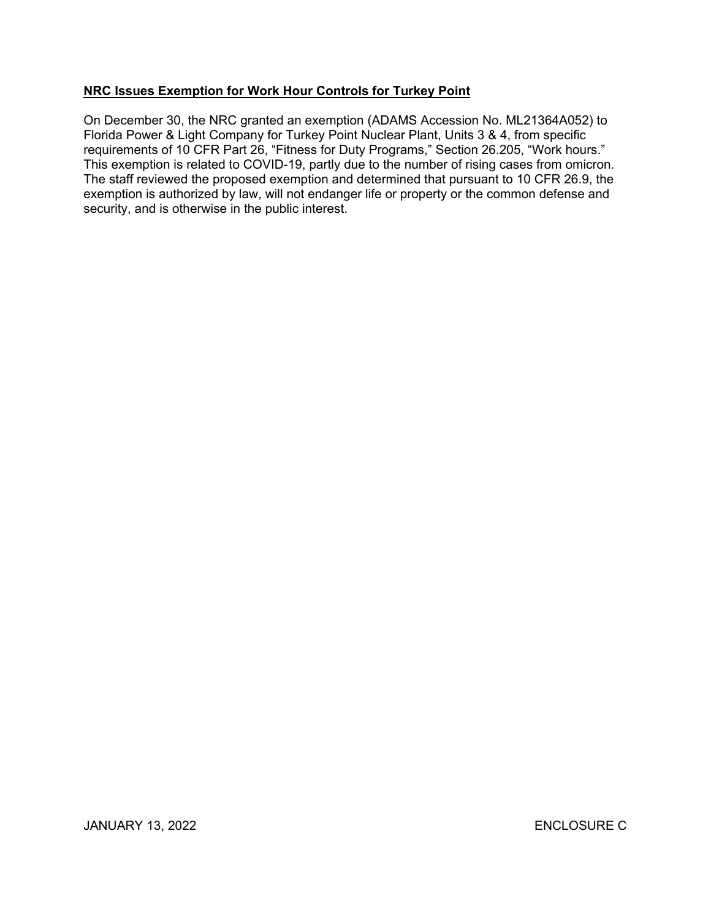## **NRC Issues Exemption for Work Hour Controls for Turkey Point**

On December 30, the NRC granted an exemption (ADAMS Accession No. ML21364A052) to Florida Power & Light Company for Turkey Point Nuclear Plant, Units 3 & 4, from specific requirements of 10 CFR Part 26, "Fitness for Duty Programs," Section 26.205, "Work hours." This exemption is related to COVID-19, partly due to the number of rising cases from omicron. The staff reviewed the proposed exemption and determined that pursuant to 10 CFR 26.9, the exemption is authorized by law, will not endanger life or property or the common defense and security, and is otherwise in the public interest.